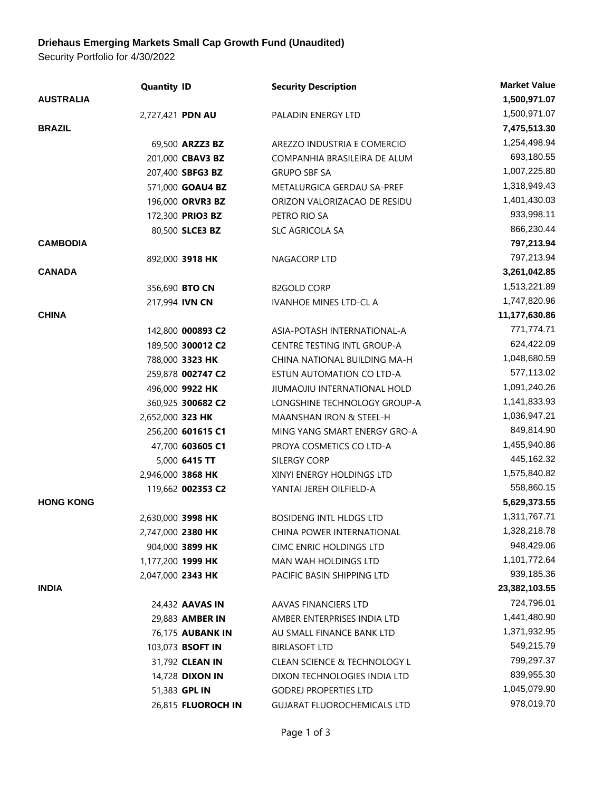## **Driehaus Emerging Markets Small Cap Growth Fund (Unaudited)**

Security Portfolio for 4/30/2022

|                  | <b>Quantity ID</b>       |                        | <b>Security Description</b>             | <b>Market Value</b> |
|------------------|--------------------------|------------------------|-----------------------------------------|---------------------|
| <b>AUSTRALIA</b> |                          |                        |                                         | 1,500,971.07        |
|                  | 2,727,421 PDN AU         |                        | PALADIN ENERGY LTD                      | 1,500,971.07        |
| <b>BRAZIL</b>    |                          |                        |                                         | 7,475,513.30        |
|                  |                          | 69,500 ARZZ3 BZ        | AREZZO INDUSTRIA E COMERCIO             | 1,254,498.94        |
|                  |                          | 201,000 CBAV3 BZ       | COMPANHIA BRASILEIRA DE ALUM            | 693,180.55          |
|                  |                          | 207,400 SBFG3 BZ       | <b>GRUPO SBF SA</b>                     | 1,007,225.80        |
|                  |                          | 571,000 GOAU4 BZ       | METALURGICA GERDAU SA-PREF              | 1,318,949.43        |
|                  |                          | 196,000 ORVR3 BZ       | ORIZON VALORIZACAO DE RESIDU            | 1,401,430.03        |
|                  |                          | 172,300 PRIO3 BZ       | PETRO RIO SA                            | 933,998.11          |
|                  |                          | 80,500 SLCE3 BZ        | SLC AGRICOLA SA                         | 866,230.44          |
| <b>CAMBODIA</b>  |                          |                        |                                         | 797,213.94          |
|                  | 892,000 3918 HK          |                        | NAGACORP LTD                            | 797,213.94          |
| <b>CANADA</b>    |                          |                        |                                         | 3,261,042.85        |
|                  | 356,690 BTO CN           |                        | <b>B2GOLD CORP</b>                      | 1,513,221.89        |
|                  | 217,994 IVN CN           |                        | <b>IVANHOE MINES LTD-CL A</b>           | 1,747,820.96        |
| <b>CHINA</b>     |                          |                        |                                         | 11,177,630.86       |
|                  |                          | 142,800 000893 C2      | ASIA-POTASH INTERNATIONAL-A             | 771,774.71          |
|                  |                          | 189,500 300012 C2      | CENTRE TESTING INTL GROUP-A             | 624,422.09          |
|                  | 788,000 3323 HK          |                        | CHINA NATIONAL BUILDING MA-H            | 1,048,680.59        |
|                  |                          | 259,878 002747 C2      | ESTUN AUTOMATION CO LTD-A               | 577,113.02          |
|                  | 496,000 9922 HK          |                        | JIUMAOJIU INTERNATIONAL HOLD            | 1,091,240.26        |
|                  |                          | 360,925 300682 C2      | LONGSHINE TECHNOLOGY GROUP-A            | 1,141,833.93        |
|                  | 2,652,000 323 HK         |                        | MAANSHAN IRON & STEEL-H                 | 1,036,947.21        |
|                  |                          | 256,200 601615 C1      | MING YANG SMART ENERGY GRO-A            | 849,814.90          |
|                  |                          | 47,700 603605 C1       | PROYA COSMETICS CO LTD-A                | 1,455,940.86        |
|                  |                          | 5,000 6415 TT          | SILERGY CORP                            | 445,162.32          |
|                  | 2,946,000 3868 HK        |                        | XINYI ENERGY HOLDINGS LTD               | 1,575,840.82        |
|                  |                          | 119,662 002353 C2      | YANTAI JEREH OILFIELD-A                 | 558,860.15          |
| <b>HONG KONG</b> |                          |                        |                                         | 5,629,373.55        |
|                  | 2,630,000 3998 HK        |                        | <b>BOSIDENG INTL HLDGS LTD</b>          | 1,311,767.71        |
|                  | 2,747,000 2380 HK        |                        | CHINA POWER INTERNATIONAL               | 1,328,218.78        |
|                  | 904,000 3899 HK          |                        | CIMC ENRIC HOLDINGS LTD                 | 948,429.06          |
|                  | 1,177,200 <b>1999 HK</b> |                        | MAN WAH HOLDINGS LTD                    | 1,101,772.64        |
|                  | 2,047,000 2343 HK        |                        | PACIFIC BASIN SHIPPING LTD              | 939,185.36          |
| <b>INDIA</b>     |                          |                        |                                         | 23,382,103.55       |
|                  |                          | 24,432 <b>AAVAS IN</b> | AAVAS FINANCIERS LTD                    | 724,796.01          |
|                  |                          | 29,883 AMBER IN        | AMBER ENTERPRISES INDIA LTD             | 1,441,480.90        |
|                  |                          | 76,175 AUBANK IN       | AU SMALL FINANCE BANK LTD               | 1,371,932.95        |
|                  |                          | 103,073 BSOFT IN       | <b>BIRLASOFT LTD</b>                    | 549,215.79          |
|                  |                          | 31,792 CLEAN IN        | <b>CLEAN SCIENCE &amp; TECHNOLOGY L</b> | 799,297.37          |
|                  |                          | 14,728 DIXON IN        | DIXON TECHNOLOGIES INDIA LTD            | 839,955.30          |
|                  | 51,383 GPL IN            |                        | <b>GODREJ PROPERTIES LTD</b>            | 1,045,079.90        |
|                  |                          | 26,815 FLUOROCH IN     | <b>GUJARAT FLUOROCHEMICALS LTD</b>      | 978,019.70          |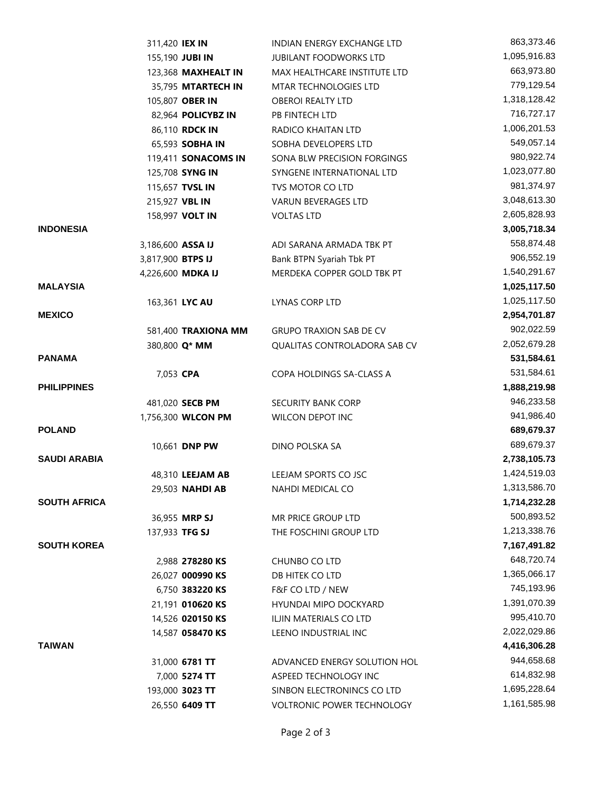|                     | 311,420 IEX IN    |                     | INDIAN ENERGY EXCHANGE LTD     | 863,373.46   |
|---------------------|-------------------|---------------------|--------------------------------|--------------|
|                     |                   | 155,190 JUBI IN     | <b>JUBILANT FOODWORKS LTD</b>  | 1,095,916.83 |
|                     |                   | 123,368 MAXHEALT IN | MAX HEALTHCARE INSTITUTE LTD   | 663,973.80   |
|                     |                   | 35,795 MTARTECH IN  | MTAR TECHNOLOGIES LTD          | 779,129.54   |
|                     |                   | 105,807 OBER IN     | <b>OBEROI REALTY LTD</b>       | 1,318,128.42 |
|                     |                   | 82,964 POLICYBZ IN  | PB FINTECH LTD                 | 716,727.17   |
|                     |                   | 86,110 RDCK IN      | RADICO KHAITAN LTD             | 1,006,201.53 |
|                     |                   | 65,593 SOBHA IN     | SOBHA DEVELOPERS LTD           | 549,057.14   |
|                     |                   | 119,411 SONACOMS IN | SONA BLW PRECISION FORGINGS    | 980,922.74   |
|                     |                   | 125,708 SYNG IN     | SYNGENE INTERNATIONAL LTD      | 1,023,077.80 |
|                     |                   | 115,657 TVSL IN     | TVS MOTOR CO LTD               | 981,374.97   |
|                     | 215,927 VBL IN    |                     | <b>VARUN BEVERAGES LTD</b>     | 3,048,613.30 |
|                     |                   | 158,997 VOLT IN     | <b>VOLTAS LTD</b>              | 2,605,828.93 |
| <b>INDONESIA</b>    |                   |                     |                                | 3,005,718.34 |
|                     | 3,186,600 ASSA IJ |                     | ADI SARANA ARMADA TBK PT       | 558,874.48   |
|                     | 3,817,900 BTPS IJ |                     | Bank BTPN Syariah Tbk PT       | 906,552.19   |
|                     |                   | 4,226,600 MDKA IJ   | MERDEKA COPPER GOLD TBK PT     | 1,540,291.67 |
| <b>MALAYSIA</b>     |                   |                     |                                | 1,025,117.50 |
|                     |                   | 163,361 LYC AU      | LYNAS CORP LTD                 | 1,025,117.50 |
| <b>MEXICO</b>       |                   |                     |                                | 2,954,701.87 |
|                     |                   | 581,400 TRAXIONA MM | <b>GRUPO TRAXION SAB DE CV</b> | 902,022.59   |
|                     |                   | 380,800 Q* MM       | QUALITAS CONTROLADORA SAB CV   | 2,052,679.28 |
| <b>PANAMA</b>       |                   |                     |                                | 531,584.61   |
|                     | 7,053 CPA         |                     | COPA HOLDINGS SA-CLASS A       | 531,584.61   |
| <b>PHILIPPINES</b>  |                   |                     |                                | 1,888,219.98 |
|                     |                   | 481,020 SECB PM     | <b>SECURITY BANK CORP</b>      | 946,233.58   |
|                     |                   | 1,756,300 WLCON PM  | WILCON DEPOT INC               | 941,986.40   |
| <b>POLAND</b>       |                   |                     |                                | 689,679.37   |
|                     |                   | 10,661 DNP PW       | DINO POLSKA SA                 | 689,679.37   |
| <b>SAUDI ARABIA</b> |                   |                     |                                | 2,738,105.73 |
|                     |                   | 48,310 LEEJAM AB    | LEEJAM SPORTS CO JSC           | 1,424,519.03 |
|                     |                   | 29,503 NAHDI AB     | NAHDI MEDICAL CO               | 1,313,586.70 |
| <b>SOUTH AFRICA</b> |                   |                     |                                | 1,714,232.28 |
|                     |                   | 36,955 MRP SJ       | MR PRICE GROUP LTD             | 500,893.52   |
|                     | 137,933 TFG SJ    |                     | THE FOSCHINI GROUP LTD         | 1,213,338.76 |
| <b>SOUTH KOREA</b>  |                   |                     |                                | 7,167,491.82 |
|                     |                   | 2,988 278280 KS     | CHUNBO CO LTD                  | 648,720.74   |
|                     |                   | 26,027 000990 KS    | DB HITEK CO LTD                | 1,365,066.17 |
|                     |                   | 6,750 383220 KS     | F&F CO LTD / NEW               | 745,193.96   |
|                     |                   | 21,191 010620 KS    | HYUNDAI MIPO DOCKYARD          | 1,391,070.39 |
|                     |                   | 14,526 020150 KS    | ILJIN MATERIALS CO LTD         | 995,410.70   |
|                     |                   | 14,587 058470 KS    | LEENO INDUSTRIAL INC           | 2,022,029.86 |
| <b>TAIWAN</b>       |                   |                     |                                | 4,416,306.28 |
|                     |                   | 31,000 6781 TT      | ADVANCED ENERGY SOLUTION HOL   | 944,658.68   |
|                     |                   | 7,000 5274 TT       | ASPEED TECHNOLOGY INC          | 614,832.98   |
|                     |                   | 193,000 3023 TT     | SINBON ELECTRONINCS CO LTD     | 1,695,228.64 |
|                     |                   | 26,550 6409 TT      | VOLTRONIC POWER TECHNOLOGY     | 1,161,585.98 |